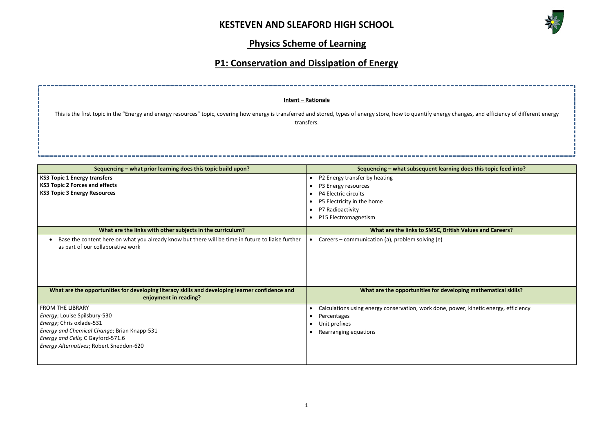

# **Physics Scheme of Learning**

# **P1: Conservation and Dissipation of Energy**

|                                                                                                                                        | P5 Electricity in the home<br>P7 Radioactivity<br>P15 Electromagnetism |
|----------------------------------------------------------------------------------------------------------------------------------------|------------------------------------------------------------------------|
| What are the links with other subjects in the curriculum?                                                                              | What are the links to SMSC, British V                                  |
| Base the content here on what you already know but there will be time in future to liaise further<br>as part of our collaborative work | Careers – communication (a), problem solving (e)                       |
| What are the opportunities for developing literacy skills and developing learner confidence and<br>enjoyment in reading?               | What are the opportunities for developi                                |
| <b>FROM THE LIBRARY</b>                                                                                                                | Calculations using energy conservation, work done, powe                |
| Energy; Louise Spilsbury-530                                                                                                           | Percentages                                                            |
|                                                                                                                                        |                                                                        |
| Energy; Chris oxlade-531                                                                                                               | Unit prefixes                                                          |
| Energy and Chemical Change; Brian Knapp-531                                                                                            | Rearranging equations                                                  |
| Energy and Cells; C Gayford-571.6<br>Energy Alternatives; Robert Sneddon-620                                                           |                                                                        |

|                                                                                                                                                                                       | Intent - Rationale                                                                                                  |  |  |  |
|---------------------------------------------------------------------------------------------------------------------------------------------------------------------------------------|---------------------------------------------------------------------------------------------------------------------|--|--|--|
| This is the first topic in the "Energy and energy resources" topic, covering how energy is transferred and stored, types of energy store, how to quantify energy change<br>transfers. |                                                                                                                     |  |  |  |
| Sequencing - what prior learning does this topic build upon?                                                                                                                          | Sequencing - what subsequent learning doe                                                                           |  |  |  |
| <b>KS3 Topic 1 Energy transfers</b><br><b>KS3 Topic 2 Forces and effects</b><br><b>KS3 Topic 3 Energy Resources</b>                                                                   | P2 Energy transfer by heating<br>P3 Energy resources<br>P4 Electric circuits<br>P5 Electricity in the home<br>----- |  |  |  |

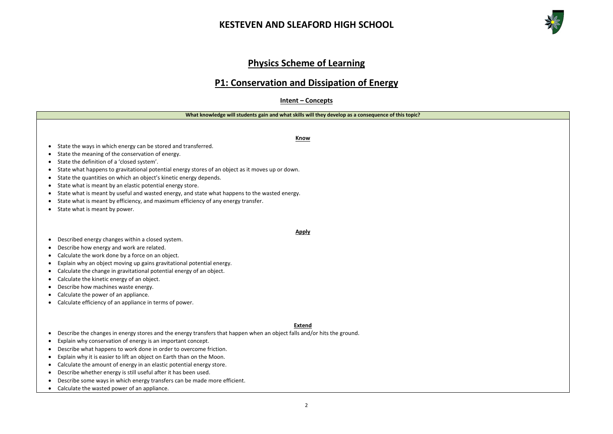## **Physics Scheme of Learning**

### **P1: Conservation and Dissipation of Energy**

**Intent – Concepts**

**What knowledge will students gain and what skills will they develop as a consequence of this topic?**

**Know**

- State the ways in which energy can be stored and transferred.
- State the meaning of the conservation of energy.
- State the definition of a 'closed system'.
- State what happens to gravitational potential energy stores of an object as it moves up or down.
- State the quantities on which an object's kinetic energy depends.
- State what is meant by an elastic potential energy store.
- State what is meant by useful and wasted energy, and state what happens to the wasted energy.
- State what is meant by efficiency, and maximum efficiency of any energy transfer.
- State what is meant by power.
- Described energy changes within a closed system.
- Describe how energy and work are related.
- Calculate the work done by a force on an object.
- Explain why an object moving up gains gravitational potential energy.
- Calculate the change in gravitational potential energy of an object.
- Calculate the kinetic energy of an object.
- Describe how machines waste energy.
- Calculate the power of an appliance.
- Calculate efficiency of an appliance in terms of power.

**Apply**





#### **Extend**

- Describe the changes in energy stores and the energy transfers that happen when an object falls and/or hits the ground.
- Explain why conservation of energy is an important concept.
- Describe what happens to work done in order to overcome friction.
- Explain why it is easier to lift an object on Earth than on the Moon.
- Calculate the amount of energy in an elastic potential energy store.
- Describe whether energy is still useful after it has been used.
- Describe some ways in which energy transfers can be made more efficient.
- Calculate the wasted power of an appliance.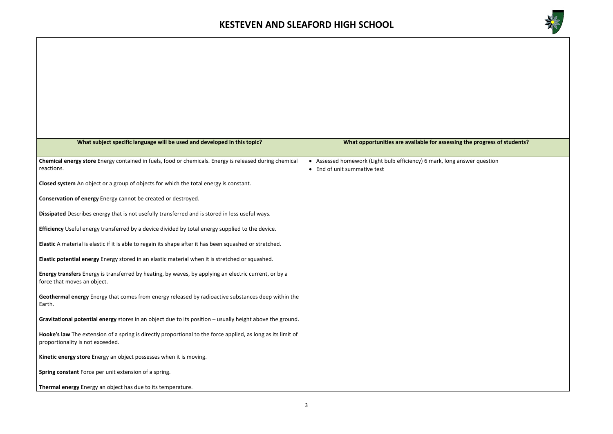

#### **g** the progress of students?

nswer question

| What subject specific language will be used and developed in this topic?                                                                         | What opportunities are available for assessing                                              |
|--------------------------------------------------------------------------------------------------------------------------------------------------|---------------------------------------------------------------------------------------------|
| Chemical energy store Energy contained in fuels, food or chemicals. Energy is released during chemical<br>reactions.                             | • Assessed homework (Light bulb efficiency) 6 mark, long an<br>• End of unit summative test |
| Closed system An object or a group of objects for which the total energy is constant.                                                            |                                                                                             |
| Conservation of energy Energy cannot be created or destroyed.                                                                                    |                                                                                             |
| Dissipated Describes energy that is not usefully transferred and is stored in less useful ways.                                                  |                                                                                             |
| Efficiency Useful energy transferred by a device divided by total energy supplied to the device.                                                 |                                                                                             |
| Elastic A material is elastic if it is able to regain its shape after it has been squashed or stretched.                                         |                                                                                             |
| Elastic potential energy Energy stored in an elastic material when it is stretched or squashed.                                                  |                                                                                             |
| Energy transfers Energy is transferred by heating, by waves, by applying an electric current, or by a<br>force that moves an object.             |                                                                                             |
| Geothermal energy Energy that comes from energy released by radioactive substances deep within the<br>Earth.                                     |                                                                                             |
| Gravitational potential energy stores in an object due to its position - usually height above the ground.                                        |                                                                                             |
| Hooke's law The extension of a spring is directly proportional to the force applied, as long as its limit of<br>proportionality is not exceeded. |                                                                                             |
| Kinetic energy store Energy an object possesses when it is moving.                                                                               |                                                                                             |
| Spring constant Force per unit extension of a spring.                                                                                            |                                                                                             |
| Thermal energy Energy an object has due to its temperature.                                                                                      |                                                                                             |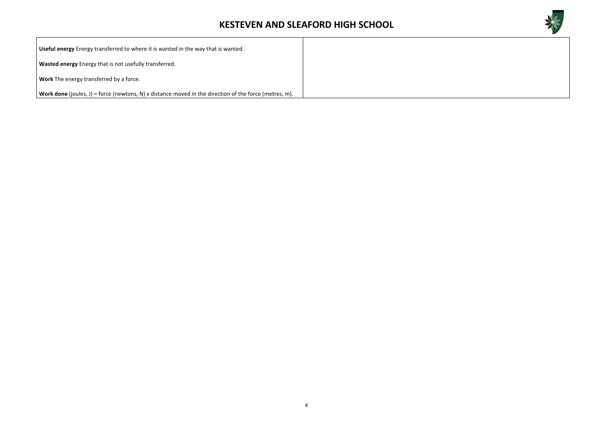

| Useful energy Energy transferred to where it is wanted in the way that is wanted.                             |  |
|---------------------------------------------------------------------------------------------------------------|--|
| Wasted energy Energy that is not usefully transferred.                                                        |  |
| Work The energy transferred by a force.                                                                       |  |
| <b>Work done</b> (joules, J) = force (newtons, N) x distance moved in the direction of the force (metres, m). |  |